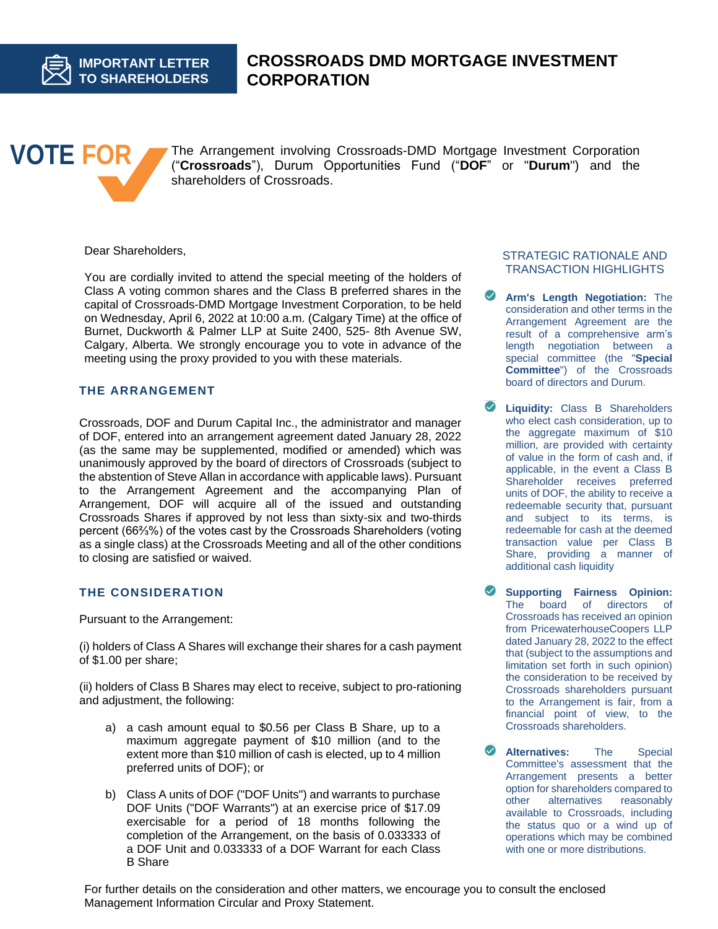

### **CROSSROADS DMD MORTGAGE INVESTMENT CORPORATION**



The Arrangement involving Crossroads-DMD Mortgage Investment Corporation ("**Crossroads**"), Durum Opportunities Fund ("**DOF**" or "**Durum**") and the shareholders of Crossroads.

Dear Shareholders,

You are cordially invited to attend the special meeting of the holders of Class A voting common shares and the Class B preferred shares in the capital of Crossroads-DMD Mortgage Investment Corporation, to be held on Wednesday, April 6, 2022 at 10:00 a.m. (Calgary Time) at the office of Burnet, Duckworth & Palmer LLP at Suite 2400, 525- 8th Avenue SW, Calgary, Alberta. We strongly encourage you to vote in advance of the meeting using the proxy provided to you with these materials.

### **THE ARRANGEMENT**

Crossroads, DOF and Durum Capital Inc., the administrator and manager of DOF, entered into an arrangement agreement dated January 28, 2022 (as the same may be supplemented, modified or amended) which was unanimously approved by the board of directors of Crossroads (subject to the abstention of Steve Allan in accordance with applicable laws). Pursuant to the Arrangement Agreement and the accompanying Plan of Arrangement, DOF will acquire all of the issued and outstanding Crossroads Shares if approved by not less than sixty-six and two-thirds percent (66⅔%) of the votes cast by the Crossroads Shareholders (voting as a single class) at the Crossroads Meeting and all of the other conditions to closing are satisfied or waived.

### **THE CONSIDERATION**

Pursuant to the Arrangement:

(i) holders of Class A Shares will exchange their shares for a cash payment of \$1.00 per share;

(ii) holders of Class B Shares may elect to receive, subject to pro-rationing and adjustment, the following:

- a) a cash amount equal to \$0.56 per Class B Share, up to a maximum aggregate payment of \$10 million (and to the extent more than \$10 million of cash is elected, up to 4 million preferred units of DOF); or
- b) Class A units of DOF ("DOF Units") and warrants to purchase DOF Units ("DOF Warrants") at an exercise price of \$17.09 exercisable for a period of 18 months following the completion of the Arrangement, on the basis of 0.033333 of a DOF Unit and 0.033333 of a DOF Warrant for each Class B Share

### STRATEGIC RATIONALE AND TRANSACTION HIGHLIGHTS

- **Arm's Length Negotiation:** The consideration and other terms in the Arrangement Agreement are the result of a comprehensive arm's length negotiation between a special committee (the "**Special Committee**") of the Crossroads board of directors and Durum.
- $\bullet$ **Liquidity:** Class B Shareholders who elect cash consideration, up to the aggregate maximum of \$10 million, are provided with certainty of value in the form of cash and, if applicable, in the event a Class B Shareholder receives preferred units of DOF, the ability to receive a redeemable security that, pursuant and subject to its terms, is redeemable for cash at the deemed transaction value per Class B Share, providing a manner of additional cash liquidity
- **Supporting Fairness Opinion:** The board of directors of Crossroads has received an opinion from PricewaterhouseCoopers LLP dated January 28, 2022 to the effect that (subject to the assumptions and limitation set forth in such opinion) the consideration to be received by Crossroads shareholders pursuant to the Arrangement is fair, from a financial point of view, to the Crossroads shareholders.
- **Alternatives:** The Special Committee's assessment that the Arrangement presents a better option for shareholders compared to other alternatives reasonably available to Crossroads, including the status quo or a wind up of operations which may be combined with one or more distributions.

For further details on the consideration and other matters, we encourage you to consult the enclosed Management Information Circular and Proxy Statement.